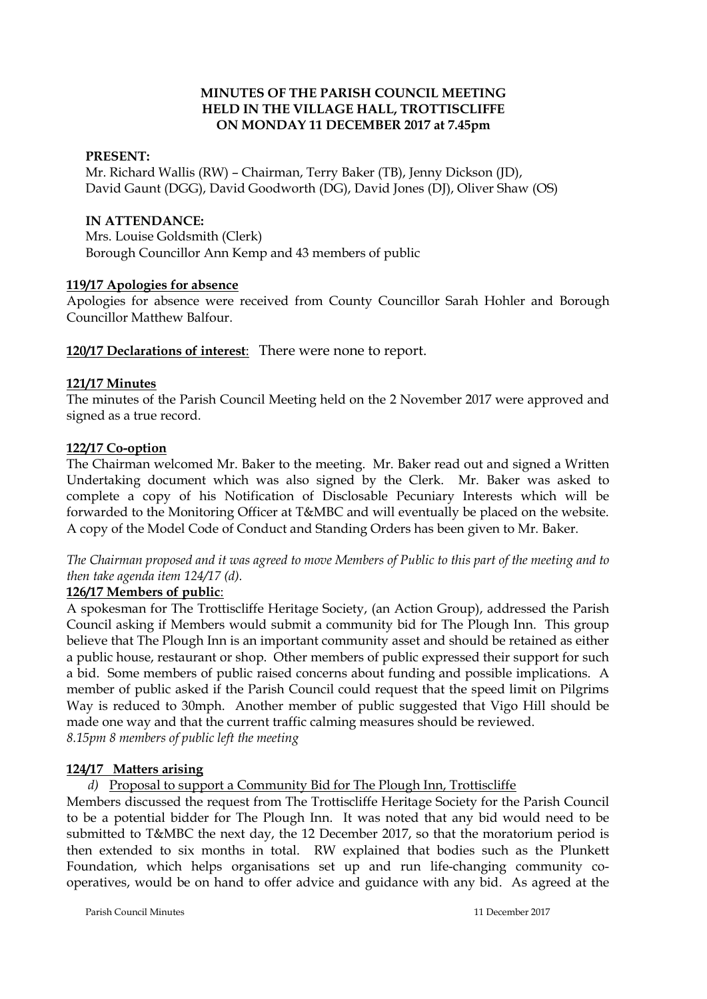## **MINUTES OF THE PARISH COUNCIL MEETING HELD IN THE VILLAGE HALL, TROTTISCLIFFE ON MONDAY 11 DECEMBER 2017 at 7.45pm**

### **PRESENT:**

Mr. Richard Wallis (RW) – Chairman, Terry Baker (TB), Jenny Dickson (JD), David Gaunt (DGG), David Goodworth (DG), David Jones (DJ), Oliver Shaw (OS)

### **IN ATTENDANCE:**

Mrs. Louise Goldsmith (Clerk) Borough Councillor Ann Kemp and 43 members of public

### **119/17 Apologies for absence**

Apologies for absence were received from County Councillor Sarah Hohler and Borough Councillor Matthew Balfour.

## **120/17 Declarations of interest**: There were none to report.

### **121/17 Minutes**

The minutes of the Parish Council Meeting held on the 2 November 2017 were approved and signed as a true record.

### **122/17 Co-option**

The Chairman welcomed Mr. Baker to the meeting. Mr. Baker read out and signed a Written Undertaking document which was also signed by the Clerk. Mr. Baker was asked to complete a copy of his Notification of Disclosable Pecuniary Interests which will be forwarded to the Monitoring Officer at T&MBC and will eventually be placed on the website. A copy of the Model Code of Conduct and Standing Orders has been given to Mr. Baker.

*The Chairman proposed and it was agreed to move Members of Public to this part of the meeting and to then take agenda item 124/17 (d).*

## **126/17 Members of public**:

A spokesman for The Trottiscliffe Heritage Society, (an Action Group), addressed the Parish Council asking if Members would submit a community bid for The Plough Inn. This group believe that The Plough Inn is an important community asset and should be retained as either a public house, restaurant or shop. Other members of public expressed their support for such a bid. Some members of public raised concerns about funding and possible implications. A member of public asked if the Parish Council could request that the speed limit on Pilgrims Way is reduced to 30mph. Another member of public suggested that Vigo Hill should be made one way and that the current traffic calming measures should be reviewed. *8.15pm 8 members of public left the meeting*

## **124/17 Matters arising**

*d)* Proposal to support a Community Bid for The Plough Inn, Trottiscliffe

Members discussed the request from The Trottiscliffe Heritage Society for the Parish Council to be a potential bidder for The Plough Inn. It was noted that any bid would need to be submitted to T&MBC the next day, the 12 December 2017, so that the moratorium period is then extended to six months in total. RW explained that bodies such as the Plunkett Foundation, which helps organisations set up and run life-changing community cooperatives, would be on hand to offer advice and guidance with any bid. As agreed at the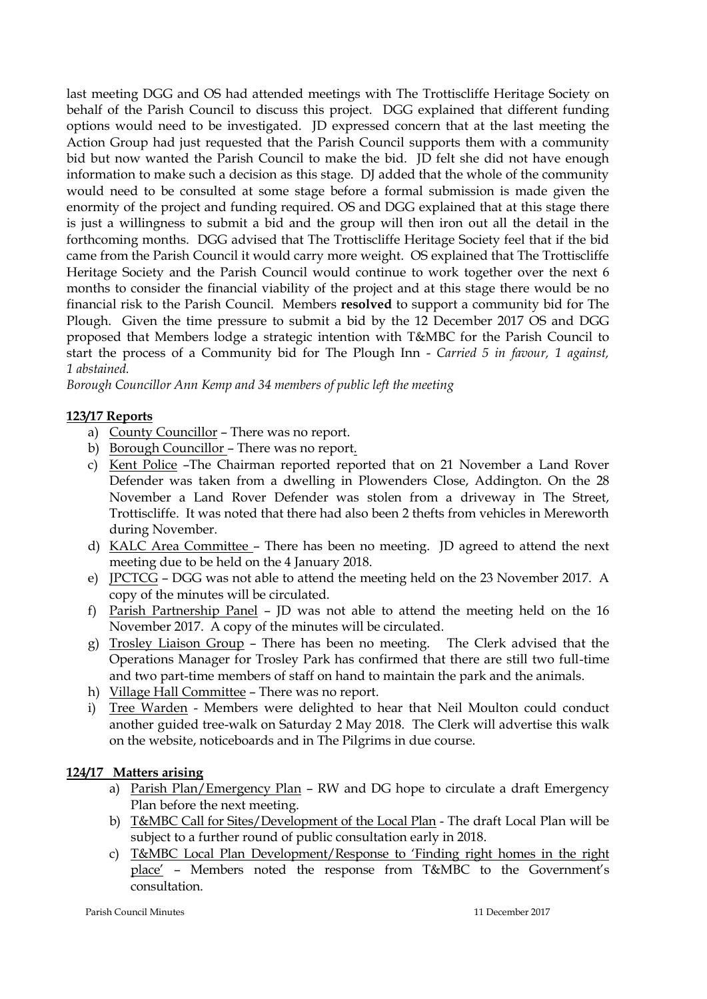last meeting DGG and OS had attended meetings with The Trottiscliffe Heritage Society on behalf of the Parish Council to discuss this project. DGG explained that different funding options would need to be investigated. JD expressed concern that at the last meeting the Action Group had just requested that the Parish Council supports them with a community bid but now wanted the Parish Council to make the bid. JD felt she did not have enough information to make such a decision as this stage. DJ added that the whole of the community would need to be consulted at some stage before a formal submission is made given the enormity of the project and funding required. OS and DGG explained that at this stage there is just a willingness to submit a bid and the group will then iron out all the detail in the forthcoming months. DGG advised that The Trottiscliffe Heritage Society feel that if the bid came from the Parish Council it would carry more weight. OS explained that The Trottiscliffe Heritage Society and the Parish Council would continue to work together over the next 6 months to consider the financial viability of the project and at this stage there would be no financial risk to the Parish Council. Members **resolved** to support a community bid for The Plough. Given the time pressure to submit a bid by the 12 December 2017 OS and DGG proposed that Members lodge a strategic intention with T&MBC for the Parish Council to start the process of a Community bid for The Plough Inn - *Carried 5 in favour, 1 against, 1 abstained.*

*Borough Councillor Ann Kemp and 34 members of public left the meeting*

# **123/17 Reports**

- a) County Councillor There was no report.
- b) Borough Councillor There was no report.
- c) Kent Police –The Chairman reported reported that on 21 November a Land Rover Defender was taken from a dwelling in Plowenders Close, Addington. On the 28 November a Land Rover Defender was stolen from a driveway in The Street, Trottiscliffe. It was noted that there had also been 2 thefts from vehicles in Mereworth during November.
- d) KALC Area Committee There has been no meeting. JD agreed to attend the next meeting due to be held on the 4 January 2018.
- e) JPCTCG DGG was not able to attend the meeting held on the 23 November 2017. A copy of the minutes will be circulated.
- f) Parish Partnership Panel JD was not able to attend the meeting held on the 16 November 2017. A copy of the minutes will be circulated.
- g) Trosley Liaison Group There has been no meeting. The Clerk advised that the Operations Manager for Trosley Park has confirmed that there are still two full-time and two part-time members of staff on hand to maintain the park and the animals.
- h) Village Hall Committee There was no report.
- i) Tree Warden Members were delighted to hear that Neil Moulton could conduct another guided tree-walk on Saturday 2 May 2018. The Clerk will advertise this walk on the website, noticeboards and in The Pilgrims in due course.

## **124/17 Matters arising**

- a) Parish Plan/Emergency Plan RW and DG hope to circulate a draft Emergency Plan before the next meeting.
- b) T&MBC Call for Sites/Development of the Local Plan The draft Local Plan will be subject to a further round of public consultation early in 2018.
- c) T&MBC Local Plan Development/Response to 'Finding right homes in the right place' – Members noted the response from T&MBC to the Government's consultation.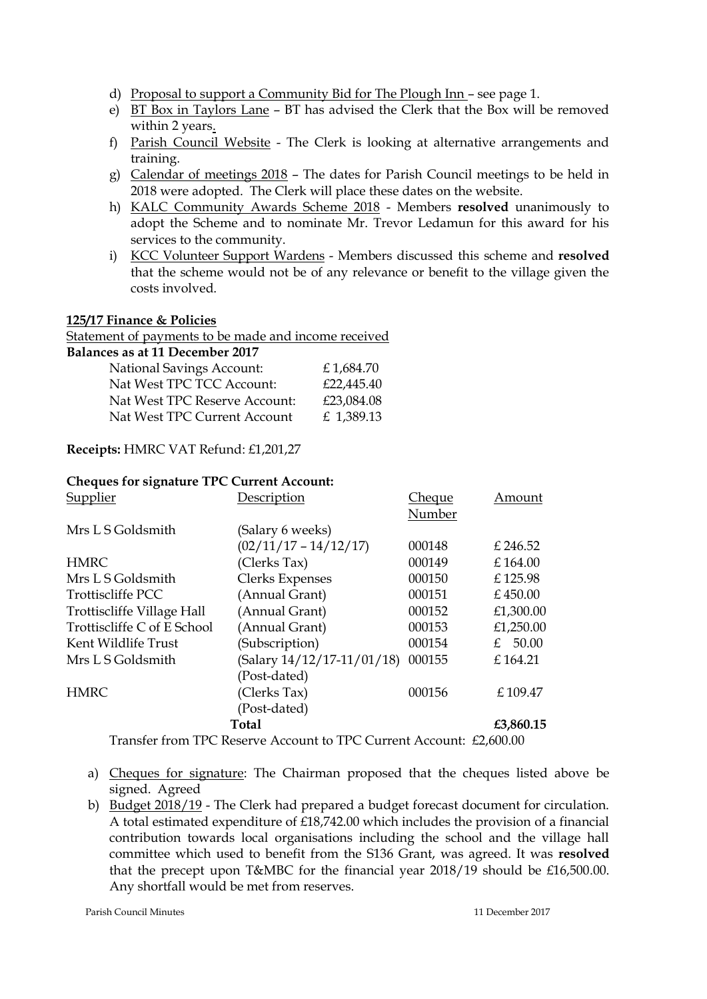- d) Proposal to support a Community Bid for The Plough Inn see page 1.
- e) BT Box in Taylors Lane BT has advised the Clerk that the Box will be removed within 2 years.
- f) Parish Council Website The Clerk is looking at alternative arrangements and training.
- g) Calendar of meetings 2018 The dates for Parish Council meetings to be held in 2018 were adopted. The Clerk will place these dates on the website.
- h) KALC Community Awards Scheme 2018 Members **resolved** unanimously to adopt the Scheme and to nominate Mr. Trevor Ledamun for this award for his services to the community.
- i) KCC Volunteer Support Wardens Members discussed this scheme and **resolved**  that the scheme would not be of any relevance or benefit to the village given the costs involved.

#### **125/17 Finance & Policies**

Statement of payments to be made and income received

| Balances as at 11 December 2017  |            |
|----------------------------------|------------|
| <b>National Savings Account:</b> | £1,684.70  |
| Nat West TPC TCC Account:        | £22,445.40 |
| Nat West TPC Reserve Account:    | £23,084.08 |

| Nat West TPC Current Account | £ 1,389.13 |
|------------------------------|------------|
|                              |            |

## **Receipts:** HMRC VAT Refund: £1,201,27

| <b>Cheques for signature TPC Current Account:</b> |                            |               |           |  |
|---------------------------------------------------|----------------------------|---------------|-----------|--|
| <u>Supplier</u>                                   | Description                | <u>Cheque</u> | Amount    |  |
|                                                   |                            | Number        |           |  |
| Mrs L S Goldsmith                                 | (Salary 6 weeks)           |               |           |  |
|                                                   | $(02/11/17 - 14/12/17)$    | 000148        | £ 246.52  |  |
| HMRC                                              | (Clerks Tax)               | 000149        | £164.00   |  |
| Mrs L S Goldsmith                                 | <b>Clerks Expenses</b>     | 000150        | £125.98   |  |
| Trottiscliffe PCC                                 | (Annual Grant)             | 000151        | £ 450.00  |  |
| Trottiscliffe Village Hall                        | (Annual Grant)             | 000152        | £1,300.00 |  |
| Trottiscliffe C of E School                       | (Annual Grant)             | 000153        | £1,250.00 |  |
| Kent Wildlife Trust                               | (Subscription)             | 000154        | £ $50.00$ |  |
| Mrs L S Goldsmith                                 | (Salary 14/12/17-11/01/18) | 000155        | £164.21   |  |
|                                                   | (Post-dated)               |               |           |  |
| <b>HMRC</b>                                       | (Clerks Tax)               | 000156        | £109.47   |  |
|                                                   |                            |               |           |  |

(Post-dated)

 **Total £3,860.15** Transfer from TPC Reserve Account to TPC Current Account: £2,600.00

- a) Cheques for signature: The Chairman proposed that the cheques listed above be signed. Agreed
- b) Budget 2018/19 The Clerk had prepared a budget forecast document for circulation. A total estimated expenditure of £18,742.00 which includes the provision of a financial contribution towards local organisations including the school and the village hall committee which used to benefit from the S136 Grant, was agreed. It was **resolved** that the precept upon T&MBC for the financial year 2018/19 should be £16,500.00. Any shortfall would be met from reserves.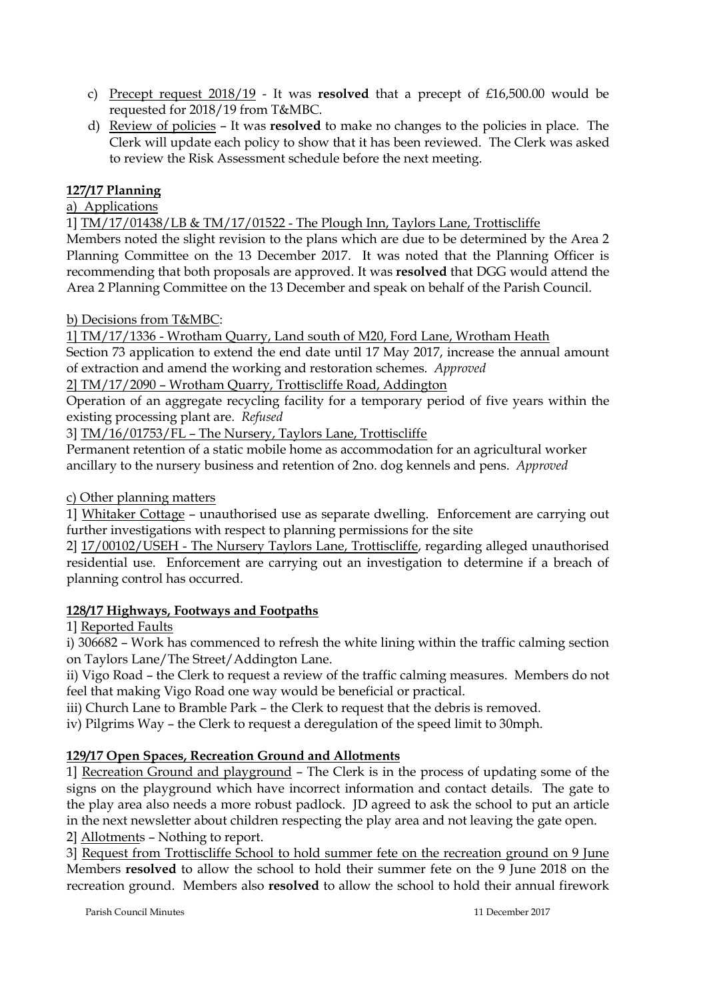- c) Precept request 2018/19 It was **resolved** that a precept of £16,500.00 would be requested for 2018/19 from T&MBC.
- d) Review of policies It was **resolved** to make no changes to the policies in place. The Clerk will update each policy to show that it has been reviewed. The Clerk was asked to review the Risk Assessment schedule before the next meeting.

# **127/17 Planning**

# a) Applications

1] TM/17/01438/LB & TM/17/01522 - The Plough Inn, Taylors Lane, Trottiscliffe

Members noted the slight revision to the plans which are due to be determined by the Area 2 Planning Committee on the 13 December 2017. It was noted that the Planning Officer is recommending that both proposals are approved. It was **resolved** that DGG would attend the Area 2 Planning Committee on the 13 December and speak on behalf of the Parish Council.

## b) Decisions from T&MBC:

1] TM/17/1336 - Wrotham Quarry, Land south of M20, Ford Lane, Wrotham Heath Section 73 application to extend the end date until 17 May 2017, increase the annual amount of extraction and amend the working and restoration schemes. *Approved*

2] TM/17/2090 – Wrotham Quarry, Trottiscliffe Road, Addington

Operation of an aggregate recycling facility for a temporary period of five years within the existing processing plant are. *Refused*

3] TM/16/01753/FL – The Nursery, Taylors Lane, Trottiscliffe

Permanent retention of a static mobile home as accommodation for an agricultural worker ancillary to the nursery business and retention of 2no. dog kennels and pens. *Approved*

c) Other planning matters

1] Whitaker Cottage – unauthorised use as separate dwelling. Enforcement are carrying out further investigations with respect to planning permissions for the site

2] 17/00102/USEH - The Nursery Taylors Lane, Trottiscliffe, regarding alleged unauthorised residential use. Enforcement are carrying out an investigation to determine if a breach of planning control has occurred.

# **128/17 Highways, Footways and Footpaths**

1] Reported Faults

i) 306682 – Work has commenced to refresh the white lining within the traffic calming section on Taylors Lane/The Street/Addington Lane.

ii) Vigo Road – the Clerk to request a review of the traffic calming measures. Members do not feel that making Vigo Road one way would be beneficial or practical.

iii) Church Lane to Bramble Park – the Clerk to request that the debris is removed.

iv) Pilgrims Way – the Clerk to request a deregulation of the speed limit to 30mph.

# **129/17 Open Spaces, Recreation Ground and Allotments**

1] Recreation Ground and playground – The Clerk is in the process of updating some of the signs on the playground which have incorrect information and contact details. The gate to the play area also needs a more robust padlock. JD agreed to ask the school to put an article in the next newsletter about children respecting the play area and not leaving the gate open. 2] Allotments – Nothing to report.

3] Request from Trottiscliffe School to hold summer fete on the recreation ground on 9 June Members **resolved** to allow the school to hold their summer fete on the 9 June 2018 on the recreation ground. Members also **resolved** to allow the school to hold their annual firework